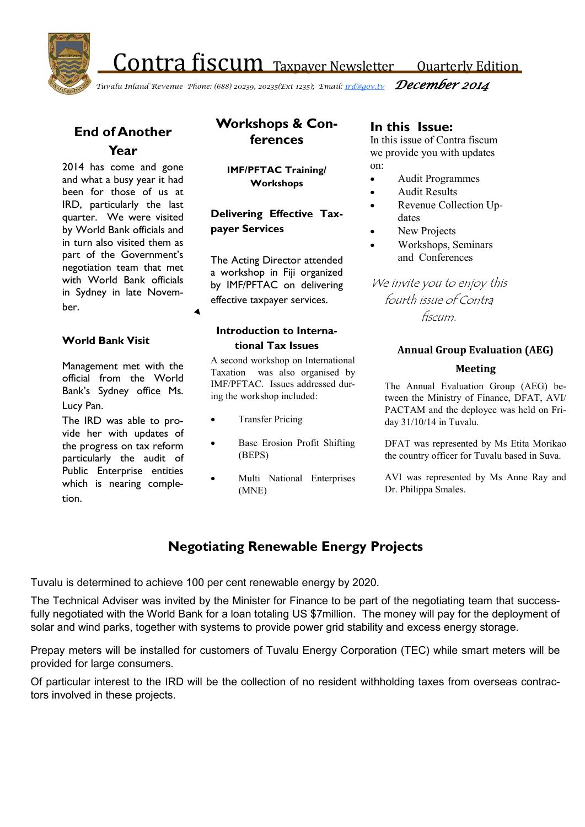Contra fiscum Taxpayer Newsletter Quarterly Edition



*Tuvalu Inland Revenue Phone: (688) 20239, 20235(Ext 1235); Email: [ird@gov.tv](mailto:ird@gov.tv) December 2014*

## **End of Another Year**

2014 has come and gone and what a busy year it had been for those of us at IRD, particularly the last quarter. We were visited by World Bank officials and in turn also visited them as part of the Government's negotiation team that met with World Bank officials in Sydney in late November.

#### **World Bank Visit**

Management met with the official from the World Bank's Sydney office Ms. Lucy Pan.

The IRD was able to provide her with updates of the progress on tax reform particularly the audit of Public Enterprise entities which is nearing completion.

## **Workshops & Conferences**

**IMF/PFTAC Training/ Workshops**

**Delivering Effective Taxpayer Services**

The Acting Director attended a workshop in Fiji organized by IMF/PFTAC on delivering effective taxpayer services.

### **Introduction to International Tax Issues**

A second workshop on International Taxation was also organised by IMF/PFTAC. Issues addressed during the workshop included:

- Transfer Pricing
- Base Erosion Profit Shifting (BEPS)
- Multi National Enterprises (MNE)

### **In this Issue:**

In this issue of Contra fiscum we provide you with updates on:

- Audit Programmes
- Audit Results
- Revenue Collection Updates
- New Projects
- Workshops, Seminars and Conferences

We invite you to enjoy this fourth issue of Contra fiscum.

#### **Annual Group Evaluation (AEG)**

#### **Meeting**

The Annual Evaluation Group (AEG) between the Ministry of Finance, DFAT, AVI/ PACTAM and the deployee was held on Friday 31/10/14 in Tuvalu.

DFAT was represented by Ms Etita Morikao the country officer for Tuvalu based in Suva.

AVI was represented by Ms Anne Ray and Dr. Philippa Smales.

## **Negotiating Renewable Energy Projects**

Tuvalu is determined to achieve 100 per cent renewable energy by 2020.

The Technical Adviser was invited by the Minister for Finance to be part of the negotiating team that successfully negotiated with the World Bank for a loan totaling US \$7million. The money will pay for the deployment of solar and wind parks, together with systems to provide power grid stability and excess energy storage.

Prepay meters will be installed for customers of Tuvalu Energy Corporation (TEC) while smart meters will be provided for large consumers.

Of particular interest to the IRD will be the collection of no resident withholding taxes from overseas contractors involved in these projects.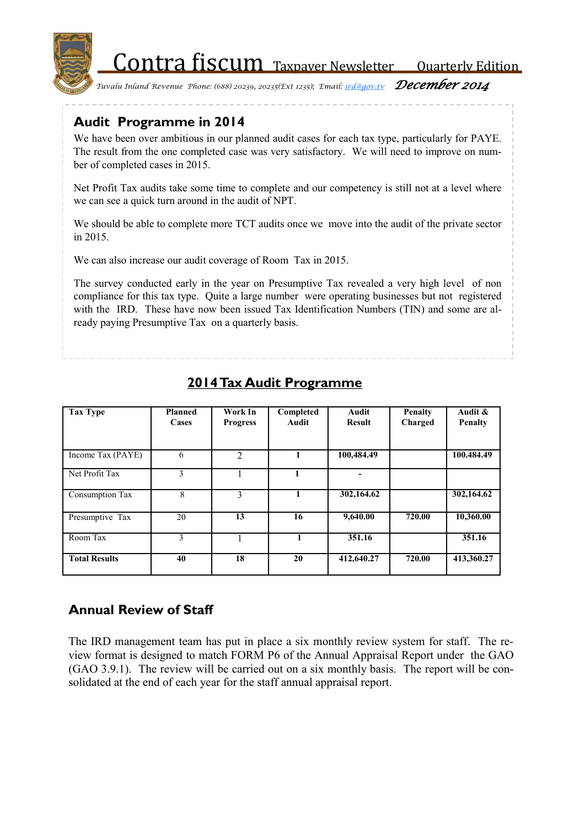Contra fiscum Taxpayer Newsletter Quarterly Edition



*Tuvalu Inland Revenue Phone: (688) 20239, 20235(Ext 1235); Email: [ird@gov.tv](mailto:ird@gov.tv) December 2014*

# **Audit Programme in 2014**

We have been over ambitious in our planned audit cases for each tax type, particularly for PAYE. The result from the one completed case was very satisfactory. We will need to improve on number of completed cases in 2015.

Net Profit Tax audits take some time to complete and our competency is still not at a level where we can see a quick turn around in the audit of NPT.

We should be able to complete more TCT audits once we move into the audit of the private sector in 2015.

We can also increase our audit coverage of Room Tax in 2015.

The survey conducted early in the year on Presumptive Tax revealed a very high level of non compliance for this tax type. Quite a large number were operating businesses but not registered with the IRD. These have now been issued Tax Identification Numbers (TIN) and some are already paying Presumptive Tax on a quarterly basis.

| <b>Tax Type</b>        | <b>Planned</b><br>Cases | Work In<br><b>Progress</b> | Completed<br>Audit | Audit<br><b>Result</b> | <b>Penalty</b><br>Charged | Audit &<br><b>Penalty</b> |
|------------------------|-------------------------|----------------------------|--------------------|------------------------|---------------------------|---------------------------|
| Income Tax (PAYE)      | 6                       | 2                          |                    | 100,484.49             |                           | 100.484.49                |
| Net Profit Tax         | 3                       |                            |                    |                        |                           |                           |
| <b>Consumption Tax</b> | 8                       | 3                          | 1                  | 302,164.62             |                           | 302,164.62                |
| Presumptive Tax        | 20                      | 13                         | 16                 | 9,640.00               | 720.00                    | 10,360.00                 |
| Room Tax               | 3                       |                            |                    | 351.16                 |                           | 351.16                    |
| <b>Total Results</b>   | 40                      | 18                         | 20                 | 412,640.27             | 720.00                    | 413,360.27                |

# **2014 Tax Audit Programme**

# **Annual Review of Staff**

 (GAO 3.9.1). The review will be carried out on a six monthly basis. The report will be con-The IRD management team has put in place a six monthly review system for staff. The review format is designed to match FORM P6 of the Annual Appraisal Report under the GAO solidated at the end of each year for the staff annual appraisal report.